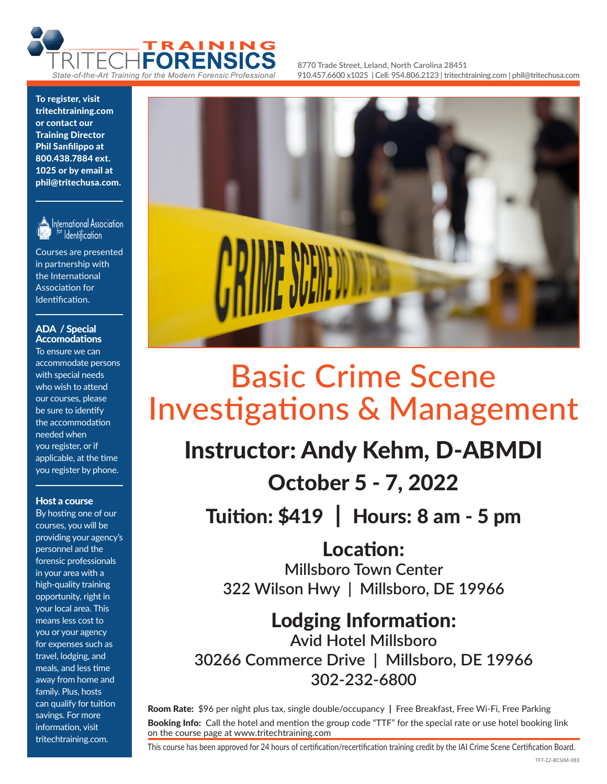

**8770 Trade Street, Leland, North Carolina 28451 910.457.6600 x1025 | Cell: 954.806.2123 | tritechtraining.com | phil@tritechusa.com**

To register, visit tritechtraining.com or contact our Training Director Phil Sanfilippo at 800.438.7884 ext. 1025 or by email at phil@tritechusa.com.



International Association <sup>for</sup> Identification

Courses are presented in partnership with the International Association for Identification.

#### ADA / Special Accomodations

To ensure we can accommodate persons with special needs who wish to attend our courses, please be sure to identify the accommodation needed when you register, or if applicable, at the time you register by phone.

#### Host a course

By hosting one of our courses, you will be providing your agency's personnel and the forensic professionals in your area with a high-quality training opportunity, right in your local area. This means less cost to you or your agency for expenses such as travel, lodging, and meals, and less time away from home and family. Plus, hosts can qualify for tuition savings. For more information, visit tritechtraining.com.



# Basic Crime Scene Investigations & Management

## Instructor: Andy Kehm, D-ABMDI

### October 5 - 7, 2022

Tuition: \$419 | Hours: 8 am - 5 pm

Location: **Millsboro Town Center**

**322 Wilson Hwy | Millsboro, DE 19966**

Lodging Information: **Avid Hotel Millsboro 30266 Commerce Drive | Millsboro, DE 19966 302-232-6800**

Room Rate: \$96 per night plus tax, single double/occupancy | Free Breakfast, Free Wi-Fi, Free Parking Booking Info: Call the hotel and mention the group code "TTF" for the special rate or use hotel booking link on the course page at www.tritechtraining.com

This course has been approved for 24 hours of certification/recertification training credit by the IAI Crime Scene Certification Board.